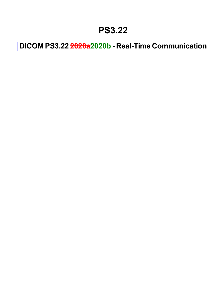### **PS3.22**

**DICOM PS3.22 2020a2020b - Real-Time Communication**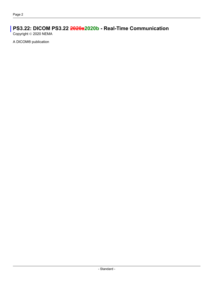#### **PS3.22: DICOM PS3.22 2020a2020b - Real-Time Communication**

Copyright © 2020 NEMA

A DICOM® publication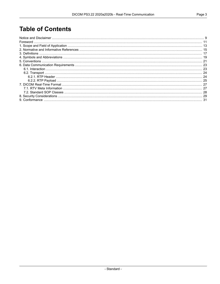#### **Table of Contents**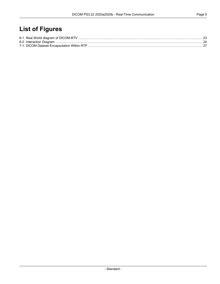### **List of Figures**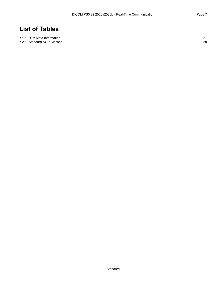#### **List of Tables**

| 7.2-1. Standard SOP Classes |  |
|-----------------------------|--|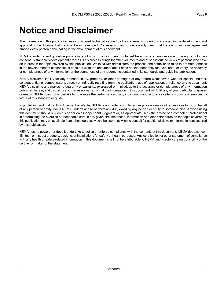### <span id="page-8-0"></span>**Notice and Disclaimer**

The information in this publication was considered technically sound by the consensus of persons engaged in the development and approval of the document at the time it was developed. Consensus does not necessarily mean that there is unanimous agreement among every person participating in the development of this document.

NEMA standards and guideline publications, of which the document contained herein is one, are developed through a voluntary consensus standards development process. This process brings together volunteers and/or seeks out the views of persons who have an interest in the topic covered by this publication. While NEMA administers the process and establishes rules to promote fairness in the development of consensus, it does not write the document and it does not independently test, evaluate, or verify the accuracy or completeness of any information or the soundness of any judgments contained in its standards and guideline publications.

NEMA disclaims liability for any personal injury, property, or other damages of any nature whatsoever, whether special, indirect, consequential, or compensatory, directly or indirectly resulting from the publication, use of, application, or reliance on this document. NEMA disclaims and makes no guaranty or warranty, expressed or implied, as to the accuracy or completeness of any information published herein, and disclaims and makes no warranty that the information in this document will fulfill any of your particular purposes or needs. NEMA does not undertake to guarantee the performance of any individual manufacturer or seller's products or services by virtue of this standard or guide.

In publishing and making this document available, NEMA is not undertaking to render professional or other services for or on behalf of any person or entity, nor is NEMA undertaking to perform any duty owed by any person or entity to someone else. Anyone using this document should rely on his or her own independent judgment or, as appropriate, seek the advice of a competent professional in determining the exercise of reasonable care in any given circumstances. Information and other standards on the topic covered by this publication may be available from other sources, which the user may wish to consult for additional views or information not covered by this publication.

NEMA has no power, nor does it undertake to police or enforce compliance with the contents of this document. NEMA does not cer tify, test, or inspect products, designs, or installations for safety or health purposes. Any certification or other statement of compliance with any health or safety-related information in this document shall not be attributable to NEMA and is solely the responsibility of the certifier or maker of the statement.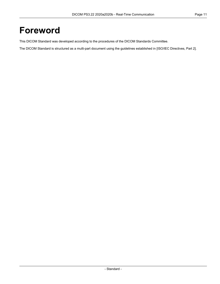### <span id="page-10-0"></span>**Foreword**

This DICOM Standard was developed according to the procedures of the DICOM Standards Committee.

The DICOM Standard is structured as a multi-part document using the guidelines established in [ISO/IEC [Directives,](#page-14-1) Part 2].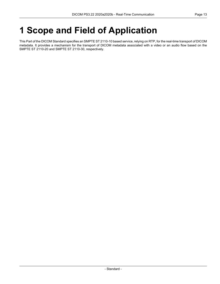# <span id="page-12-0"></span>**1 Scope and Field of Application**

This Part of the DICOM Standard specifies an SMPTE ST 2110-10 based service, relying on RTP, for the real-time transport of DICOM metadata. It provides a mechanism for the transport of DICOM metadata associated with a video or an audio flow based on the SMPTE ST 2110-20 and SMPTE ST 2110-30, respectively.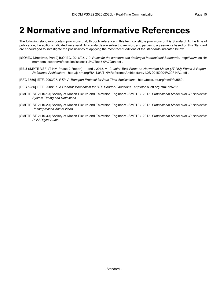## <span id="page-14-0"></span>**2 Normative and Informative References**

The following standards contain provisions that, through reference in this text, constitute provisions of this Standard. At the time of publication, the editions indicated were valid. All standards are subject to revision, and parties to agreements based on this Standard are encouraged to investigate the possibilities of applying the most recent editions of the standards indicated below.

- <span id="page-14-2"></span><span id="page-14-1"></span>[ISO/IEC Directives, Part 2] ISO/IEC. 2016/05. 7.0. *Rules for the structure and drafting of International Standards*. [http://www.iec.ch/](http://www.iec.ch/members_experts/refdocs/iec/isoiecdir-2%7Bed7.0%7Den.pdf) [members\\_experts/refdocs/iec/isoiecdir-2%7Bed7.0%7Den.pdf](http://www.iec.ch/members_experts/refdocs/iec/isoiecdir-2%7Bed7.0%7Den.pdf) .
- [EBU-SMPTE-VSF JT-NM Phase 2 Report] , , and . 2015. v1.0. *Joint Task Force on Networked Media (JT-NM) Phase 2 Report- Reference Architecture*. <http://jt-nm.org/RA-1.0/JT-NMReferenceArchitecturev1.0%20150904%20FINAL.pdf> .
- <span id="page-14-6"></span>[RFC 3550] IETF. 2003/07. *RTP: A Transport Protocol for Real-Time Applications*. <http://tools.ietf.org/html/rfc3550> .
- <span id="page-14-3"></span>[RFC 5285] IETF. 2008/07. *A General Mechanism for RTP Header Extensions*. <http://tools.ietf.org/html/rfc5285> .
- <span id="page-14-4"></span>[SMPTE ST 2110-10] Society of Motion Picture and Television Engineers (SMPTE). 2017. *Professional Media over IP Networks: System Timing and Definitions*.
- <span id="page-14-5"></span>[SMPTE ST 2110-20] Society of Motion Picture and Television Engineers (SMPTE). 2017. *Professional Media over IP Networks: Uncompressed Active Video*.
- [SMPTE ST 2110-30] Society of Motion Picture and Television Engineers (SMPTE). 2017. *Professional Media over IP Networks: PCM Digital Audio*.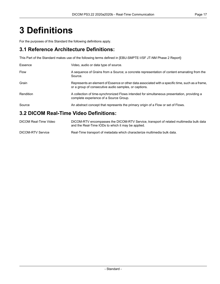# <span id="page-16-0"></span>**3 Definitions**

For the purposes of this Standard the following definitions apply.

#### **3.1 Reference Architecture Definitions:**

This Part of the Standard makes use of the following terms defined in [\[EBU-SMPTE-VSF](#page-14-2) JT-NM Phase 2 Report]:

| Essence                                | Video, audio or data type of source.                                                                                                                      |  |  |  |
|----------------------------------------|-----------------------------------------------------------------------------------------------------------------------------------------------------------|--|--|--|
| <b>Flow</b>                            | A sequence of Grains from a Source; a concrete representation of content emanating from the<br>Source.                                                    |  |  |  |
| Grain                                  | Represents an element of Essence or other data associated with a specific time, such as a frame,<br>or a group of consecutive audio samples, or captions. |  |  |  |
| Rendition                              | A collection of time-synchronized Flows intended for simultaneous presentation, providing a<br>complete experience of a Source Group.                     |  |  |  |
| Source                                 | An abstract concept that represents the primary origin of a Flow or set of Flows.                                                                         |  |  |  |
| 3.2 DICOM Real-Time Video Definitions: |                                                                                                                                                           |  |  |  |

#### DICOM Real-Time Video DICOM-RTV encompasses the DICOM-RTV Service, transport of related multimedia bulk data and the Real-Time IODs to which it may be applied. DICOM-RTV Service Real-Time transport of metadata which characterize multimedia bulk data.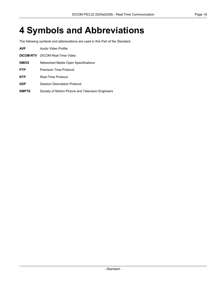# <span id="page-18-0"></span>**4 Symbols and Abbreviations**

The following symbols and abbreviations are used in this Part of the Standard.

| <b>AVP</b>   | Audio Video Profile                                |
|--------------|----------------------------------------------------|
| DICOM-RTV    | DICOM Real-Time Video                              |
| <b>NMOS</b>  | Networked Media Open Specifications                |
| <b>PTP</b>   | Precision Time Protocol                            |
| <b>RTP</b>   | Real-Time Protocol                                 |
| <b>SDP</b>   | Session Description Protocol                       |
| <b>SMPTE</b> | Society of Motion Picture and Television Engineers |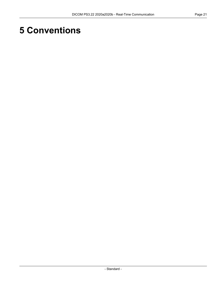# <span id="page-20-0"></span>**5 Conventions**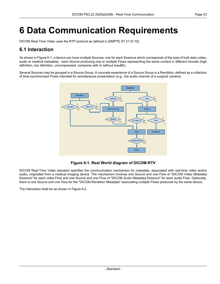# <span id="page-22-0"></span>**6 Data Communication Requirements**

<span id="page-22-1"></span>DICOM Real-Time Video uses the RTP protocol as defined in [SMPTE ST [2110-10\]](#page-14-3).

#### **6.1 Interaction**

As shown in [Figure](#page-22-2) 6-1, a device can have multiple Sources, one for each Essence which corresponds of the type of bulk data (video, audio or medical metadata) , each Source producing one or multiple Flows representing the same content in different formats (high definition, low definition, uncompressed, compress with or without loss $\hat{a}\epsilon$ .

<span id="page-22-2"></span>Several Sources may be grouped in a Source Group. A concrete experience of a Source Group is a Rendition, defined as a collection of time-synchronized Flows intended for simultaneous presentation (e.g., the audio channel of a surgical camera).



**Figure 6-1. Real World diagram of DICOM-RTV**

DICOM Real-Time Video standard specifies the communication mechanism for metadata, associated with real-time video and/or audio, originated from a medical imaging device. The mechanism involves one Source and one Flow of "DICOM Video Metadata Essence" for each video Flow and one Source and one Flow of "DICOM Audio Metadata Essence" for each audio Flow. Optionally, there is one Source and one Flow for the "DICOM Rendition Metadata" associating multiple Flows produced by the same device.

The interaction shall be as shown in [Figure](#page-23-2) 6-2.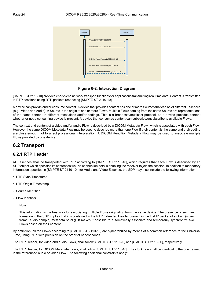<span id="page-23-2"></span>

**Figure 6-2. Interaction Diagram**

[SMPTE ST [2110-10\]](#page-14-3) provides end-to-end network transport functions for applications transmitting real-time data. Content is transmitted in RTP sessions using RTP packets respecting [SMPTE ST [2110-10\].](#page-14-3)

A device can provide and/or consume content. A device that provides content has one or more Sources that can be of different Essences (e.g., Video and Audio). A Source is the origin of one or more Flows. Multiple Flows coming from the same Source are representations of the same content in different resolutions and/or codings. This is a broadcast/multicast protocol, so a device provides content whether or not a consuming device is present. A device that consumes content can subscribe/unsubscribe to available Flows.

<span id="page-23-0"></span>The context and content of a video and/or audio Flow is described by a DICOM Metadata Flow, which is associated with each Flow. However the same DICOM Metadata Flow may be used to describe more than one Flow if their content is the same and their coding are close enough not to affect professional interpretation. A DICOM Rendition Metadata Flow may be used to associate multiple Flows provided by one device.

#### <span id="page-23-1"></span>**6.2 Transport**

#### **6.2.1 RTP Header**

All Essences shall be transported with RTP according to [SMPTE ST [2110-10\],](#page-14-3) which requires that each Flow is described by an SDP object which specifies its content as well as connection details enabling the receiver to join the session. In addition to mandatory information specified in [SMPTE ST [2110-10\],](#page-14-3) for Audio and Video Essence, the SDP may also include the following information:

- PTP Sync Timestamp
- PTP Origin Timestamp
- Source Identifier
- Flow Identifier

Note

This information is the best way for associating multiple Flows originating from the same device. The presence of such in formation in the SDP implies that it is contained in the RTP Extended Header present in the first IP packet of a Grain (video frame, audio sample, metadata setâ $\epsilon$ . It makes it possible to automatically associate and temporarily synchronize two Flows based on their content.

By definition, all the Flows according to [SMPTE ST [2110-10\]](#page-14-3) are synchronized by means of a common reference to the Universal Time, using PTP, with precision on the order of nanoseconds.

The RTP Header, for video and audio Flows, shall follow [SMPTE ST [2110-20\]](#page-14-4) and [SMPTE ST [2110-30\],](#page-14-5) respectively.

The RTP Header, for DICOM Metadata Flows, shall follow [SMPTE ST [2110-10\].](#page-14-3) The clock rate shall be identical to the one defined in the referenced audio or video Flow. The following additional constraints apply: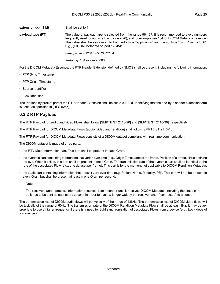**extension** (X) : **1 bit** Shall be set to 1.

**payload type (PT)** The value of payload type is selected from the range 96-127. It is recommended to avoid numbers frequently used for audio (97) and video (96), and for example use 104 for DICOM Metadata Essence. The value shall be associated to the media type "application" and the subtype "dicom" in the SDP. E.g., (DICOM Metadata on port 12345):

*m=application*12345 *RTP/AVP*104

*a=rtpmap:*104 *dicom/*90000

For the DICOM Metadata Essence, the RTP Header Extension defined by NMOS shall be present, including the following information:

- PTP Sync Timestamp
- PTP Origin Timestamp
- Source Identifier
- Flow Identifier

<span id="page-24-0"></span>The "defined by profile" part of the RTP Header Extension shall be set to 0xBEDE identifying that the one-byte header extension form is used, as specified in [RFC [5285\].](#page-14-6)

#### **6.2.2 RTP Payload**

The RTP Payload for audio and video Flows shall follow [SMPTE ST [2110-20\]](#page-14-4) and [SMPTE ST [2110-30\],](#page-14-5) respectively.

The RTP Payload for DICOM Metadata Flows (audio, video and rendition) shall follow [SMPTE ST [2110-10\]](#page-14-3).

The RTP Payload for DICOM Metadata Flows consists of a DICOM dataset compliant with real-time communication.

The DICOM dataset is made of three parts:

- the RTV Meta Information part. This part shall be present in each Grain.
- the dynamic part containing information that varies over time (e.g., Origin Timestamp of the frame, Position of a probe, circle defining the eye. When it exists, this part shall be present in each Grain. The transmission rate of the dynamic part shall be identical to the rate of the associated Flow (e.g., one dataset per frame). This part is for the moment not applicable to DICOM Rendition Metadata.
- the static part containing information that doesn't vary over time (e.g. Patient Name, Modality,  $\hat{a}\epsilon$ ). This part will not be present in every Grain but shall be present at least in one Grain per second.

**Note** 

The receiver cannot process information received from a sender until it receives DICOM Metadata including the static part, so it has to be sent at least every second in order to avoid a longer wait by the receiver when "connected" to a sender.

The transmission rate of DICOM audio flows will be typically of the range of 48kHz. The transmission rate of DICOM video flows will be typically of the range of 60Hz. The transmission rate of the DICOM Rendition Metadata Flow shall be at least 1Hz. It may be ap propriate to use a higher frequency if there is a need for tight synchronization of associated Flows from a device (e.g., two videos of a stereo pair).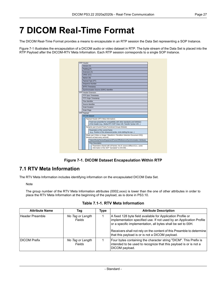## <span id="page-26-0"></span>**7 DICOM Real-Time Format**

The DICOM Real-Time Format provides a means to encapsulate in an RTP session the Data Set representing a SOP Instance.

<span id="page-26-2"></span>[Figure](#page-26-2) 7-1 illustrates the encapsulation of a DICOM audio or video dataset in RTP. The byte stream of the Data Set is placed into the RTP Payload after the DICOM-RTV Meta Information. Each RTP session corresponds to a single SOP Instance.

| RTP Header  |                                                                                                     |                                                                                                                                                 |                                                                                                                            |  |  |  |  |  |
|-------------|-----------------------------------------------------------------------------------------------------|-------------------------------------------------------------------------------------------------------------------------------------------------|----------------------------------------------------------------------------------------------------------------------------|--|--|--|--|--|
|             | Version (V)                                                                                         |                                                                                                                                                 |                                                                                                                            |  |  |  |  |  |
|             |                                                                                                     | Padding (P)                                                                                                                                     |                                                                                                                            |  |  |  |  |  |
|             | Extension (X)                                                                                       |                                                                                                                                                 |                                                                                                                            |  |  |  |  |  |
|             | CRSC (CC)                                                                                           |                                                                                                                                                 |                                                                                                                            |  |  |  |  |  |
|             |                                                                                                     | Marker (M)                                                                                                                                      |                                                                                                                            |  |  |  |  |  |
|             |                                                                                                     | Payload Type (PT)                                                                                                                               |                                                                                                                            |  |  |  |  |  |
|             |                                                                                                     |                                                                                                                                                 | Sequence Number                                                                                                            |  |  |  |  |  |
|             |                                                                                                     |                                                                                                                                                 | (RTP) Timestamp                                                                                                            |  |  |  |  |  |
|             |                                                                                                     |                                                                                                                                                 | Synchronization Source (SSRC) Identifier                                                                                   |  |  |  |  |  |
|             |                                                                                                     |                                                                                                                                                 | RTP Header Extension                                                                                                       |  |  |  |  |  |
|             |                                                                                                     |                                                                                                                                                 | PTP Sync Timestamp                                                                                                         |  |  |  |  |  |
|             |                                                                                                     |                                                                                                                                                 | PTP Origin Timestamp                                                                                                       |  |  |  |  |  |
|             | Flow Identifier                                                                                     |                                                                                                                                                 |                                                                                                                            |  |  |  |  |  |
|             | Source Identifier                                                                                   |                                                                                                                                                 |                                                                                                                            |  |  |  |  |  |
|             |                                                                                                     | <b>Grain Duration</b>                                                                                                                           |                                                                                                                            |  |  |  |  |  |
|             | <b>Grain Flags</b>                                                                                  |                                                                                                                                                 |                                                                                                                            |  |  |  |  |  |
| RTP Payload |                                                                                                     |                                                                                                                                                 |                                                                                                                            |  |  |  |  |  |
|             | DICOM dataset                                                                                       |                                                                                                                                                 |                                                                                                                            |  |  |  |  |  |
|             |                                                                                                     |                                                                                                                                                 | Payload Header (RTV Meta Information)                                                                                      |  |  |  |  |  |
|             |                                                                                                     | Fixed-size preamble for compatibility with other standards and Definition<br>of the header (e.g., Media RTV SOP Class UID, Transfer Syntax UID) |                                                                                                                            |  |  |  |  |  |
|             | Dynamic part (Curent Frame Functional Groups Module)                                                |                                                                                                                                                 |                                                                                                                            |  |  |  |  |  |
|             | Parameters of the current frame<br>(e.g., Position of the ultrasound probe, circle definig the eye) |                                                                                                                                                 |                                                                                                                            |  |  |  |  |  |
|             |                                                                                                     |                                                                                                                                                 | [Static part (Video xx Image / Waveform / Rendition Selection Document IOD)]<br>(present at least every second)            |  |  |  |  |  |
|             |                                                                                                     |                                                                                                                                                 | Patient/Study/Series/Equipment/FrameOfReference/Synchronization Attributes                                                 |  |  |  |  |  |
|             |                                                                                                     |                                                                                                                                                 | Flow Description                                                                                                           |  |  |  |  |  |
|             |                                                                                                     |                                                                                                                                                 | Parameters shared with all frames: list of: source id/flow id (i.e., some<br>information of the SDP "translated" to DICOM) |  |  |  |  |  |

**Figure 7-1. DICOM Dataset Encapsulation Within RTP**

#### <span id="page-26-1"></span>**7.1 RTV Meta Information**

<span id="page-26-3"></span>The RTV Meta Information includes identifying information on the encapsulated DICOM Data Set.

Note

The group number of the RTV Meta Information attributes (0002,xxxx) is lower than the one of other attributes in order to place the RTV Meta Information at the beginning of the payload, as is done in [PS3.10.](part10.pdf#PS3.10)

**Table 7.1-1. RTV Meta Information**

| <b>Attribute Name</b> | Taq                        | Type | <b>Attribute Description</b>                                                                                                                                                                                                                                                                                                   |
|-----------------------|----------------------------|------|--------------------------------------------------------------------------------------------------------------------------------------------------------------------------------------------------------------------------------------------------------------------------------------------------------------------------------|
| Header Preamble       | No Tag or Length<br>Fields |      | A fixed 128 byte field available for Application Profile or<br>implementation specified use. If not used by an Application Profile<br>or a specific implementation, all bytes shall be set to 00H.<br>Receivers shall not rely on the content of this Preamble to determine<br>that this payload is or is not a DICOM payload. |
| <b>DICOM Prefix</b>   | No Tag or Length<br>Fields |      | Four bytes containing the character string "DICM". This Prefix is<br>intended to be used to recognize that this payload is or is not a<br>DICOM payload.                                                                                                                                                                       |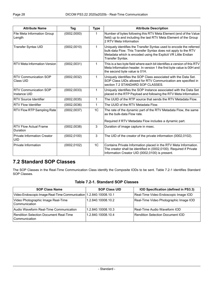| <b>Attribute Name</b>                                                                                | Tag                                   | <b>Type</b>                                                                                                                                       | <b>Attribute Description</b>                                                                                                                                                                           |
|------------------------------------------------------------------------------------------------------|---------------------------------------|---------------------------------------------------------------------------------------------------------------------------------------------------|--------------------------------------------------------------------------------------------------------------------------------------------------------------------------------------------------------|
| File Meta Information Group<br>Length                                                                | (0002, 0000)                          | 1                                                                                                                                                 | Number of bytes following this RTV Meta Element (end of the Value<br>field) up to and including the last RTV Meta Element of the Group<br>2 RTV Meta Information                                       |
| <b>Transfer Syntax UID</b>                                                                           | (0002, 0010)<br>1<br>Transfer Syntax. |                                                                                                                                                   | Uniquely identifies the Transfer Syntax used to encode the referred<br>bulk-data Flow. This Transfer Syntax does not apply to the RTV<br>Metadata which is encoded using the Explicit VR Little Endian |
| <b>RTV Meta Information Version</b><br>(0002, 0031)<br>$\mathbf{1}$<br>the second byte value is 01H. |                                       | This is a two byte field where each bit identifies a version of this RTV<br>Meta Information header. In version 1 the first byte value is 00H and |                                                                                                                                                                                                        |
| <b>RTV Communication SOP</b><br>Class UID                                                            | (0002, 0032)                          | 1                                                                                                                                                 | Uniquely identifies the SOP Class associated with the Data Set.<br>SOP Class UIDs allowed for RTV Communication are specified in<br>section 7.2 STANDARD SOP CLASSES.                                  |
| <b>RTV Communication SOP</b><br>Instance UID                                                         | (0002, 0033)                          | 1                                                                                                                                                 | Uniquely identifies the SOP Instance associated with the Data Set<br>placed in the RTP Payload and following the RTV Meta Information.                                                                 |
| <b>RTV Source Identifier</b>                                                                         | (0002, 0035)                          | 1                                                                                                                                                 | The UUID of the RTP source that sends the RTV Metadata Flow.                                                                                                                                           |
| <b>RTV Flow Identifier</b>                                                                           | (0002, 0036)                          | $\mathbf{1}$                                                                                                                                      | The UUID of the RTV Metadata Flow.                                                                                                                                                                     |
| RTV Flow RTP Sampling Rate                                                                           | (0002, 0037)                          | 1C                                                                                                                                                | The rate of the dynamic part of the RTV Metadata Flow, the same<br>as the bulk-data Flow rate.<br>Required if RTV Metadata Flow includes a dynamic part.                                               |
| <b>RTV Flow Actual Frame</b><br>Duration                                                             | (0002, 0038)                          | 3                                                                                                                                                 | Duration of image capture in msec.                                                                                                                                                                     |
| <b>Private Information Creator</b><br><b>UID</b>                                                     | (0002, 0100)                          | $\mathbf{3}$                                                                                                                                      | The UID of the creator of the private information (0002,0102).                                                                                                                                         |
| Private Information                                                                                  | (0002, 0102)                          | 1C                                                                                                                                                | Contains Private Information placed in the RTV Meta Information.<br>The creator shall be identified in (0002,0100). Required if Private<br>Information Creator UID (0002,0100) is present.             |

#### <span id="page-27-1"></span><span id="page-27-0"></span>**7.2 Standard SOP Classes**

The SOP Classes in the Real-Time Communication Class identify the Composite IODs to be sent. [Table](#page-27-1) 7.2-1 identifies Standard SOP Classes.

#### **Table 7.2-1. Standard SOP Classes**

| <b>SOP Class Name</b>                                               | <b>SOP Class UID</b> | IOD Specification (defined in PS3.3)   |
|---------------------------------------------------------------------|----------------------|----------------------------------------|
| Video Endoscopic Image Real-Time Communication   1.2.840.10008.10.1 |                      | Real-Time Video Endoscopic Image IOD   |
| Video Photographic Image Real-Time<br>Communication                 | 1.2.840.10008.10.2   | Real-Time Video Photographic Image IOD |
| Audio Waveform Real-Time Communication                              | 1.2.840.10008.10.3   | Real-Time Audio Waveform IOD           |
| Rendition Selection Document Real-Time<br>l Communication           | 1.2.840.10008.10.4   | Rendition Selection Document IOD       |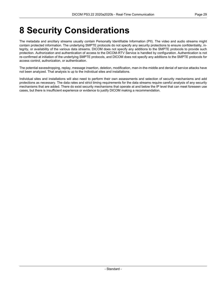## <span id="page-28-0"></span>**8 Security Considerations**

The metadata and ancillary streams usually contain Personally Identifiable Information (PII). The video and audio streams might contain protected information. The underlying SMPTE protocols do not specify any security protections to ensure confidentiality, in tegrity, or availability of the various data streams. DICOM does not specify any additions to the SMPTE protocols to provide such protection. Authorization and authentication of access to the DICOM-RTV Service is handled by configuration. Authentication is not re-confirmed at initiation of the underlying SMPTE protocols, and DICOM does not specify any additions to the SMPTE protocols for access control, authorization, or authentication.

The potential eavesdropping, replay, message insertion, deletion, modification, man-in-the-middle and denial of service attacks have not been analyzed. That analysis is up to the individual sites and installations.

Individual sites and installations will also need to perform their own assessments and selection of security mechanisms and add protections as necessary. The data rates and strict timing requirements for the data streams require careful analysis of any security mechanisms that are added. There do exist security mechanisms that operate at and below the IP level that can meet foreseen use cases, but there is insufficient experience or evidence to justify DICOM making a recommendation.